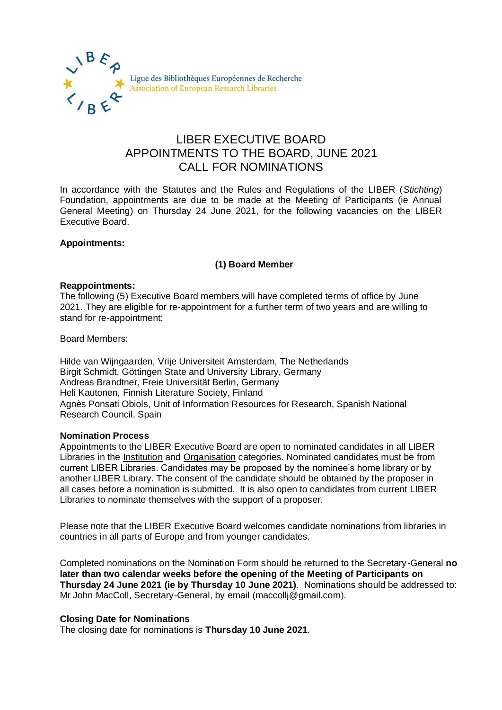

# LIBER EXECUTIVE BOARD APPOINTMENTS TO THE BOARD, JUNE 2021 CALL FOR NOMINATIONS

In accordance with the Statutes and the Rules and Regulations of the LIBER (*Stichting*) Foundation, appointments are due to be made at the Meeting of Participants (ie Annual General Meeting) on Thursday 24 June 2021, for the following vacancies on the LIBER Executive Board.

## **Appointments:**

## **(1) Board Member**

### **Reappointments:**

The following (5) Executive Board members will have completed terms of office by June 2021. They are eligible for re-appointment for a further term of two years and are willing to stand for re-appointment:

Board Members:

Hilde van Wijngaarden, Vrije Universiteit Amsterdam, The Netherlands Birgit Schmidt, Göttingen State and University Library, Germany Andreas Brandtner, Freie Universität Berlin, Germany Heli Kautonen, Finnish Literature Society, Finland Agnès Ponsati Obiols, Unit of Information Resources for Research, Spanish National Research Council, Spain

#### **Nomination Process**

Appointments to the LIBER Executive Board are open to nominated candidates in all LIBER Libraries in the Institution and Organisation categories. Nominated candidates must be from current LIBER Libraries. Candidates may be proposed by the nominee's home library or by another LIBER Library. The consent of the candidate should be obtained by the proposer in all cases before a nomination is submitted. It is also open to candidates from current LIBER Libraries to nominate themselves with the support of a proposer.

Please note that the LIBER Executive Board welcomes candidate nominations from libraries in countries in all parts of Europe and from younger candidates.

Completed nominations on the Nomination Form should be returned to the Secretary-General **no later than two calendar weeks before the opening of the Meeting of Participants on Thursday 24 June 2021 (ie by Thursday 10 June 2021)**. Nominations should be addressed to: Mr John MacColl, Secretary-General, by email (maccolli@gmail.com).

## **Closing Date for Nominations**

The closing date for nominations is **Thursday 10 June 2021**.